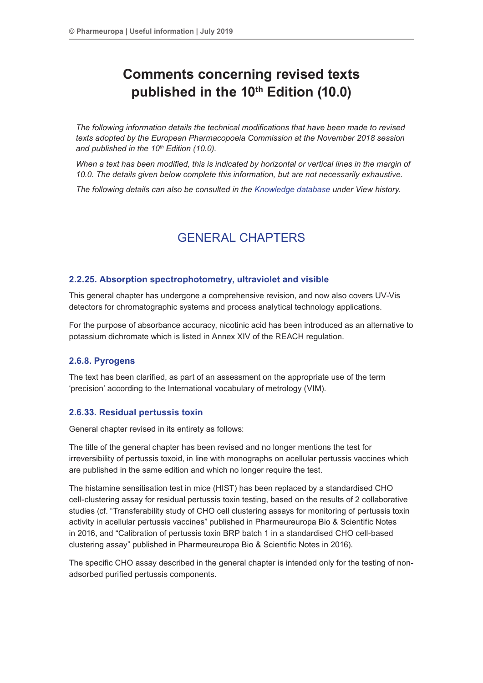# **Comments concerning revised texts published in the 10th Edition (10.0)**

*The following information details the technical modifications that have been made to revised texts adopted by the European Pharmacopoeia Commission at the November 2018 session*  and published in the 10<sup>th</sup> Edition (10.0).

When a text has been modified, this is indicated by horizontal or vertical lines in the margin of *10.0. The details given below complete this information, but are not necessarily exhaustive.*

*The following details can also be consulted in the [Knowledge database](http://www.edqm.eu/site/Databases-10.html) under View history.*

## GENERAL CHAPTERS

## **2.2.25. Absorption spectrophotometry, ultraviolet and visible**

This general chapter has undergone a comprehensive revision, and now also covers UV-Vis detectors for chromatographic systems and process analytical technology applications.

For the purpose of absorbance accuracy, nicotinic acid has been introduced as an alternative to potassium dichromate which is listed in Annex XIV of the REACH regulation.

## **2.6.8. Pyrogens**

The text has been clarified, as part of an assessment on the appropriate use of the term 'precision' according to the International vocabulary of metrology (VIM).

## **2.6.33. Residual pertussis toxin**

General chapter revised in its entirety as follows:

The title of the general chapter has been revised and no longer mentions the test for irreversibility of pertussis toxoid, in line with monographs on acellular pertussis vaccines which are published in the same edition and which no longer require the test.

The histamine sensitisation test in mice (HIST) has been replaced by a standardised CHO cell-clustering assay for residual pertussis toxin testing, based on the results of 2 collaborative studies (cf. "Transferability study of CHO cell clustering assays for monitoring of pertussis toxin activity in acellular pertussis vaccines" published in Pharmeureuropa Bio & Scientific Notes in 2016, and "Calibration of pertussis toxin BRP batch 1 in a standardised CHO cell-based clustering assay" published in Pharmeureuropa Bio & Scientific Notes in 2016).

The specific CHO assay described in the general chapter is intended only for the testing of nonadsorbed purified pertussis components.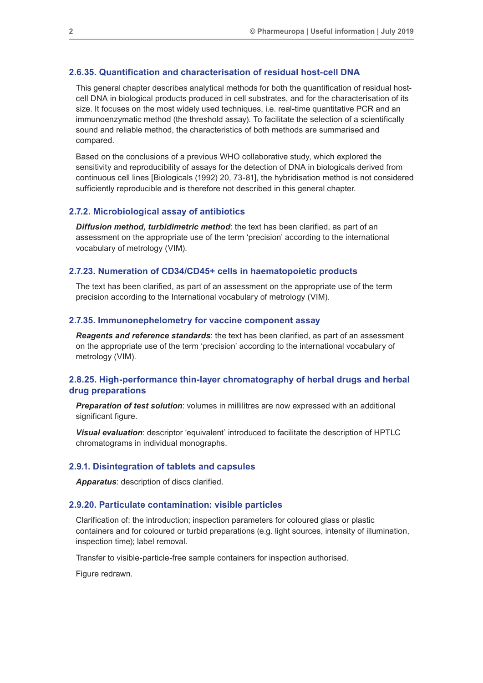#### **2.6.35. Quantification and characterisation of residual host-cell DNA**

This general chapter describes analytical methods for both the quantification of residual hostcell DNA in biological products produced in cell substrates, and for the characterisation of its size. It focuses on the most widely used techniques, i.e. real-time quantitative PCR and an immunoenzymatic method (the threshold assay). To facilitate the selection of a scientifically sound and reliable method, the characteristics of both methods are summarised and compared.

Based on the conclusions of a previous WHO collaborative study, which explored the sensitivity and reproducibility of assays for the detection of DNA in biologicals derived from continuous cell lines [Biologicals (1992) 20, 73-81], the hybridisation method is not considered sufficiently reproducible and is therefore not described in this general chapter.

#### **2.7.2. Microbiological assay of antibiotics**

*Diffusion method, turbidimetric method*: the text has been clarified, as part of an assessment on the appropriate use of the term 'precision' according to the international vocabulary of metrology (VIM).

## **2.7.23. Numeration of CD34/CD45+ cells in haematopoietic products**

The text has been clarified, as part of an assessment on the appropriate use of the term precision according to the International vocabulary of metrology (VIM).

#### **2.7.35. Immunonephelometry for vaccine component assay**

*Reagents and reference standards*: the text has been clarified, as part of an assessment on the appropriate use of the term 'precision' according to the international vocabulary of metrology (VIM).

## **2.8.25. High-performance thin-layer chromatography of herbal drugs and herbal drug preparations**

*Preparation of test solution*: volumes in millilitres are now expressed with an additional significant figure.

*Visual evaluation*: descriptor 'equivalent' introduced to facilitate the description of HPTLC chromatograms in individual monographs.

#### **2.9.1. Disintegration of tablets and capsules**

*Apparatus*: description of discs clarified.

#### **2.9.20. Particulate contamination: visible particles**

Clarification of: the introduction; inspection parameters for coloured glass or plastic containers and for coloured or turbid preparations (e.g. light sources, intensity of illumination, inspection time); label removal.

Transfer to visible-particle-free sample containers for inspection authorised.

Figure redrawn.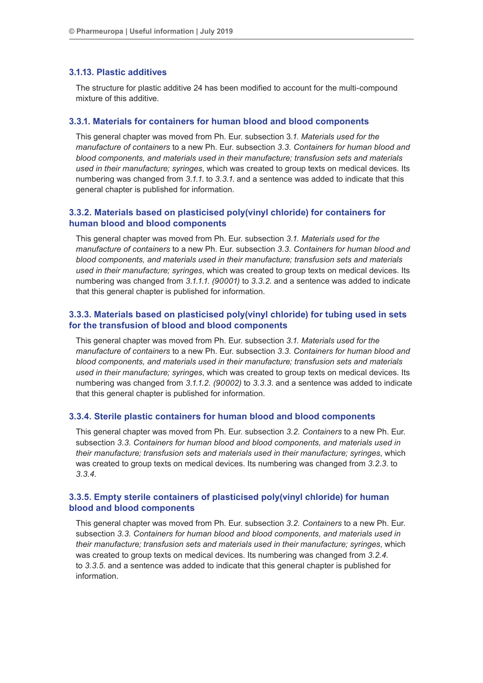### **3.1.13. Plastic additives**

The structure for plastic additive 24 has been modified to account for the multi-compound mixture of this additive.

## **3.3.1. Materials for containers for human blood and blood components**

This general chapter was moved from Ph. Eur. subsection 3*.1. Materials used for the manufacture of containers* to a new Ph. Eur. subsection *3.3. Containers for human blood and blood components, and materials used in their manufacture; transfusion sets and materials used in their manufacture; syringes*, which was created to group texts on medical devices. Its numbering was changed from *3.1.1*. to *3.3.1*. and a sentence was added to indicate that this general chapter is published for information.

## **3.3.2. Materials based on plasticised poly(vinyl chloride) for containers for human blood and blood components**

This general chapter was moved from Ph. Eur. subsection *3.1. Materials used for the manufacture of containers* to a new Ph. Eur. subsection *3.3. Containers for human blood and blood components, and materials used in their manufacture; transfusion sets and materials used in their manufacture; syringes*, which was created to group texts on medical devices. Its numbering was changed from *3.1.1.1*. *(90001)* to *3.3.2*. and a sentence was added to indicate that this general chapter is published for information.

## **3.3.3. Materials based on plasticised poly(vinyl chloride) for tubing used in sets for the transfusion of blood and blood components**

This general chapter was moved from Ph. Eur. subsection *3.1. Materials used for the manufacture of containers* to a new Ph. Eur. subsection *3.3. Containers for human blood and blood components, and materials used in their manufacture; transfusion sets and materials used in their manufacture; syringes*, which was created to group texts on medical devices. Its numbering was changed from *3.1.1.2. (90002)* to *3.3.3*. and a sentence was added to indicate that this general chapter is published for information.

#### **3.3.4. Sterile plastic containers for human blood and blood components**

This general chapter was moved from Ph. Eur. subsection *3.2. Containers* to a new Ph. Eur. subsection *3.3. Containers for human blood and blood components, and materials used in their manufacture; transfusion sets and materials used in their manufacture; syringes*, which was created to group texts on medical devices. Its numbering was changed from *3.2.3*. to *3.3.4*.

## **3.3.5. Empty sterile containers of plasticised poly(vinyl chloride) for human blood and blood components**

This general chapter was moved from Ph. Eur. subsection *3.2. Containers* to a new Ph. Eur. subsection *3.3. Containers for human blood and blood components, and materials used in their manufacture; transfusion sets and materials used in their manufacture; syringes*, which was created to group texts on medical devices. Its numbering was changed from *3.2.4*. to *3.3.5*. and a sentence was added to indicate that this general chapter is published for information.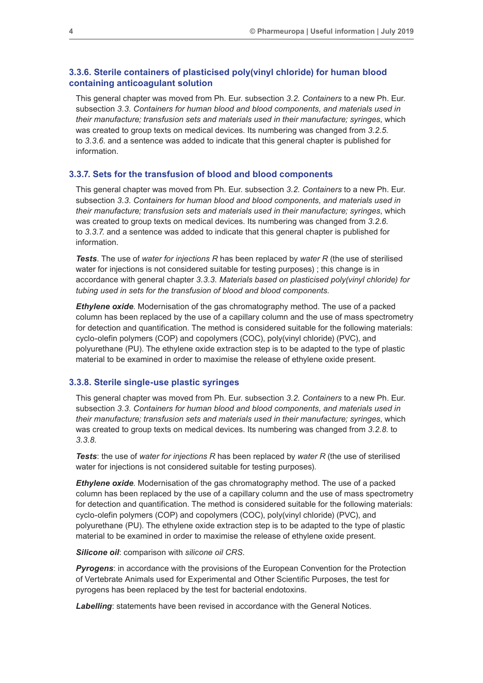## **3.3.6. Sterile containers of plasticised poly(vinyl chloride) for human blood containing anticoagulant solution**

This general chapter was moved from Ph. Eur. subsection *3.2. Containers* to a new Ph. Eur. subsection *3.3. Containers for human blood and blood components, and materials used in their manufacture; transfusion sets and materials used in their manufacture; syringes*, which was created to group texts on medical devices. Its numbering was changed from *3.2.5*. to *3.3.6*. and a sentence was added to indicate that this general chapter is published for information.

## **3.3.7. Sets for the transfusion of blood and blood components**

This general chapter was moved from Ph. Eur. subsection *3.2. Containers* to a new Ph. Eur. subsection *3.3. Containers for human blood and blood components, and materials used in their manufacture; transfusion sets and materials used in their manufacture; syringes*, which was created to group texts on medical devices. Its numbering was changed from *3.2.6*. to *3.3.7*. and a sentence was added to indicate that this general chapter is published for information.

*Tests*. The use of *water for injections R* has been replaced by *water R* (the use of sterilised water for injections is not considered suitable for testing purposes) ; this change is in accordance with general chapter *3.3.3. Materials based on plasticised poly(vinyl chloride) for tubing used in sets for the transfusion of blood and blood components*.

*Ethylene oxide*. Modernisation of the gas chromatography method. The use of a packed column has been replaced by the use of a capillary column and the use of mass spectrometry for detection and quantification. The method is considered suitable for the following materials: cyclo-olefin polymers (COP) and copolymers (COC), poly(vinyl chloride) (PVC), and polyurethane (PU). The ethylene oxide extraction step is to be adapted to the type of plastic material to be examined in order to maximise the release of ethylene oxide present.

#### **3.3.8. Sterile single-use plastic syringes**

This general chapter was moved from Ph. Eur. subsection *3.2. Containers* to a new Ph. Eur. subsection *3.3. Containers for human blood and blood components, and materials used in their manufacture; transfusion sets and materials used in their manufacture; syringes*, which was created to group texts on medical devices. Its numbering was changed from *3.2.8*. to *3.3.8*.

*Tests*: the use of *water for injections R* has been replaced by *water R* (the use of sterilised water for injections is not considered suitable for testing purposes).

*Ethylene oxide*. Modernisation of the gas chromatography method. The use of a packed column has been replaced by the use of a capillary column and the use of mass spectrometry for detection and quantification. The method is considered suitable for the following materials: cyclo-olefin polymers (COP) and copolymers (COC), poly(vinyl chloride) (PVC), and polyurethane (PU). The ethylene oxide extraction step is to be adapted to the type of plastic material to be examined in order to maximise the release of ethylene oxide present.

#### *Silicone oil*: comparison with *silicone oil CRS*.

**Pyrogens:** in accordance with the provisions of the European Convention for the Protection of Vertebrate Animals used for Experimental and Other Scientific Purposes, the test for pyrogens has been replaced by the test for bacterial endotoxins.

*Labelling*: statements have been revised in accordance with the General Notices.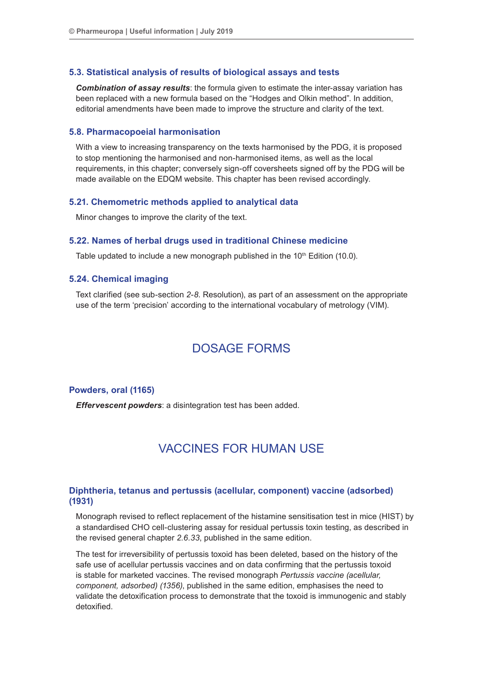#### **5.3. Statistical analysis of results of biological assays and tests**

*Combination of assay results*: the formula given to estimate the inter-assay variation has been replaced with a new formula based on the "Hodges and Olkin method". In addition, editorial amendments have been made to improve the structure and clarity of the text.

#### **5.8. Pharmacopoeial harmonisation**

With a view to increasing transparency on the texts harmonised by the PDG, it is proposed to stop mentioning the harmonised and non-harmonised items, as well as the local requirements, in this chapter; conversely sign-off coversheets signed off by the PDG will be made available on the EDQM website. This chapter has been revised accordingly.

#### **5.21. Chemometric methods applied to analytical data**

Minor changes to improve the clarity of the text.

#### **5.22. Names of herbal drugs used in traditional Chinese medicine**

Table updated to include a new monograph published in the 10<sup>th</sup> Edition (10.0).

## **5.24. Chemical imaging**

Text clarified (see sub-section *2-8*. Resolution), as part of an assessment on the appropriate use of the term 'precision' according to the international vocabulary of metrology (VIM).

## DOSAGE FORMS

## **Powders, oral (1165)**

*Effervescent powders*: a disintegration test has been added.

## VACCINES FOR HUMAN USE

## **Diphtheria, tetanus and pertussis (acellular, component) vaccine (adsorbed) (1931)**

Monograph revised to reflect replacement of the histamine sensitisation test in mice (HIST) by a standardised CHO cell-clustering assay for residual pertussis toxin testing, as described in the revised general chapter *2.6.33*, published in the same edition.

The test for irreversibility of pertussis toxoid has been deleted, based on the history of the safe use of acellular pertussis vaccines and on data confirming that the pertussis toxoid is stable for marketed vaccines. The revised monograph *Pertussis vaccine (acellular, component, adsorbed) (1356)*, published in the same edition, emphasises the need to validate the detoxification process to demonstrate that the toxoid is immunogenic and stably detoxified.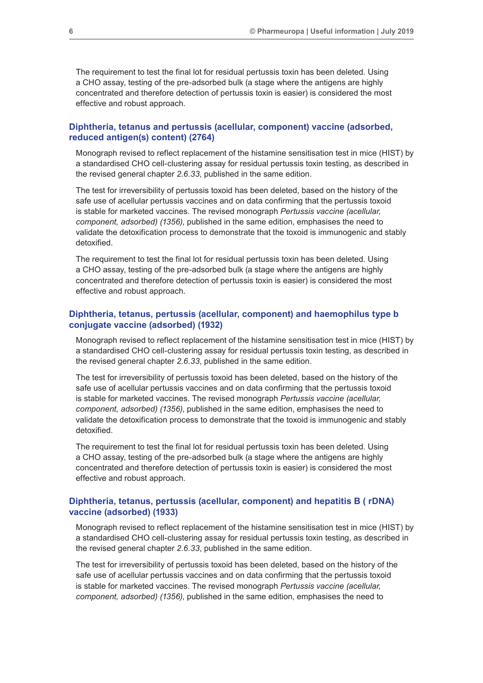The requirement to test the final lot for residual pertussis toxin has been deleted. Using a CHO assay, testing of the pre-adsorbed bulk (a stage where the antigens are highly concentrated and therefore detection of pertussis toxin is easier) is considered the most effective and robust approach.

## **Diphtheria, tetanus and pertussis (acellular, component) vaccine (adsorbed, reduced antigen(s) content) (2764)**

Monograph revised to reflect replacement of the histamine sensitisation test in mice (HIST) by a standardised CHO cell-clustering assay for residual pertussis toxin testing, as described in the revised general chapter *2.6.33*, published in the same edition.

The test for irreversibility of pertussis toxoid has been deleted, based on the history of the safe use of acellular pertussis vaccines and on data confirming that the pertussis toxoid is stable for marketed vaccines. The revised monograph *Pertussis vaccine (acellular, component, adsorbed) (1356)*, published in the same edition, emphasises the need to validate the detoxification process to demonstrate that the toxoid is immunogenic and stably detoxified.

The requirement to test the final lot for residual pertussis toxin has been deleted. Using a CHO assay, testing of the pre-adsorbed bulk (a stage where the antigens are highly concentrated and therefore detection of pertussis toxin is easier) is considered the most effective and robust approach.

## **Diphtheria, tetanus, pertussis (acellular, component) and haemophilus type b conjugate vaccine (adsorbed) (1932)**

Monograph revised to reflect replacement of the histamine sensitisation test in mice (HIST) by a standardised CHO cell-clustering assay for residual pertussis toxin testing, as described in the revised general chapter *2.6.33*, published in the same edition.

The test for irreversibility of pertussis toxoid has been deleted, based on the history of the safe use of acellular pertussis vaccines and on data confirming that the pertussis toxoid is stable for marketed vaccines. The revised monograph *Pertussis vaccine (acellular, component, adsorbed) (1356)*, published in the same edition, emphasises the need to validate the detoxification process to demonstrate that the toxoid is immunogenic and stably detoxified.

The requirement to test the final lot for residual pertussis toxin has been deleted. Using a CHO assay, testing of the pre-adsorbed bulk (a stage where the antigens are highly concentrated and therefore detection of pertussis toxin is easier) is considered the most effective and robust approach.

## **Diphtheria, tetanus, pertussis (acellular, component) and hepatitis B ( rDNA) vaccine (adsorbed) (1933)**

Monograph revised to reflect replacement of the histamine sensitisation test in mice (HIST) by a standardised CHO cell-clustering assay for residual pertussis toxin testing, as described in the revised general chapter *2.6.33*, published in the same edition.

The test for irreversibility of pertussis toxoid has been deleted, based on the history of the safe use of acellular pertussis vaccines and on data confirming that the pertussis toxoid is stable for marketed vaccines. The revised monograph *Pertussis vaccine (acellular, component, adsorbed) (1356)*, published in the same edition, emphasises the need to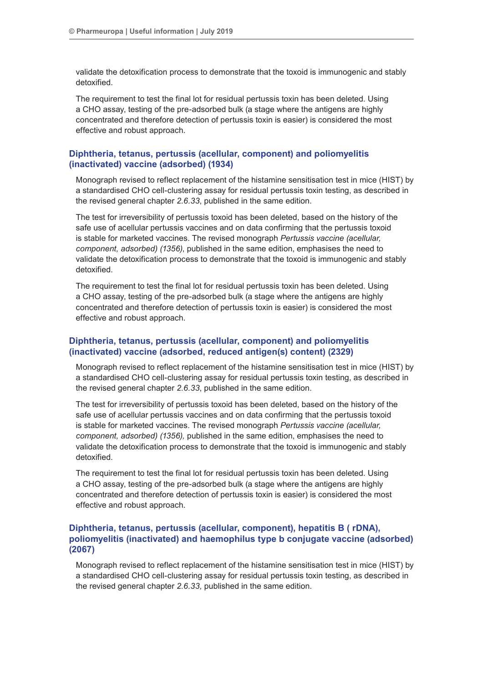validate the detoxification process to demonstrate that the toxoid is immunogenic and stably detoxified.

The requirement to test the final lot for residual pertussis toxin has been deleted. Using a CHO assay, testing of the pre-adsorbed bulk (a stage where the antigens are highly concentrated and therefore detection of pertussis toxin is easier) is considered the most effective and robust approach.

## **Diphtheria, tetanus, pertussis (acellular, component) and poliomyelitis (inactivated) vaccine (adsorbed) (1934)**

Monograph revised to reflect replacement of the histamine sensitisation test in mice (HIST) by a standardised CHO cell-clustering assay for residual pertussis toxin testing, as described in the revised general chapter *2.6.33*, published in the same edition.

The test for irreversibility of pertussis toxoid has been deleted, based on the history of the safe use of acellular pertussis vaccines and on data confirming that the pertussis toxoid is stable for marketed vaccines. The revised monograph *Pertussis vaccine (acellular, component, adsorbed) (1356)*, published in the same edition, emphasises the need to validate the detoxification process to demonstrate that the toxoid is immunogenic and stably detoxified.

The requirement to test the final lot for residual pertussis toxin has been deleted. Using a CHO assay, testing of the pre-adsorbed bulk (a stage where the antigens are highly concentrated and therefore detection of pertussis toxin is easier) is considered the most effective and robust approach.

## **Diphtheria, tetanus, pertussis (acellular, component) and poliomyelitis (inactivated) vaccine (adsorbed, reduced antigen(s) content) (2329)**

Monograph revised to reflect replacement of the histamine sensitisation test in mice (HIST) by a standardised CHO cell-clustering assay for residual pertussis toxin testing, as described in the revised general chapter *2.6.33*, published in the same edition.

The test for irreversibility of pertussis toxoid has been deleted, based on the history of the safe use of acellular pertussis vaccines and on data confirming that the pertussis toxoid is stable for marketed vaccines. The revised monograph *Pertussis vaccine (acellular, component, adsorbed) (1356),* published in the same edition, emphasises the need to validate the detoxification process to demonstrate that the toxoid is immunogenic and stably detoxified.

The requirement to test the final lot for residual pertussis toxin has been deleted. Using a CHO assay, testing of the pre-adsorbed bulk (a stage where the antigens are highly concentrated and therefore detection of pertussis toxin is easier) is considered the most effective and robust approach.

## **Diphtheria, tetanus, pertussis (acellular, component), hepatitis B ( rDNA), poliomyelitis (inactivated) and haemophilus type b conjugate vaccine (adsorbed) (2067)**

Monograph revised to reflect replacement of the histamine sensitisation test in mice (HIST) by a standardised CHO cell-clustering assay for residual pertussis toxin testing, as described in the revised general chapter *2.6.33,* published in the same edition.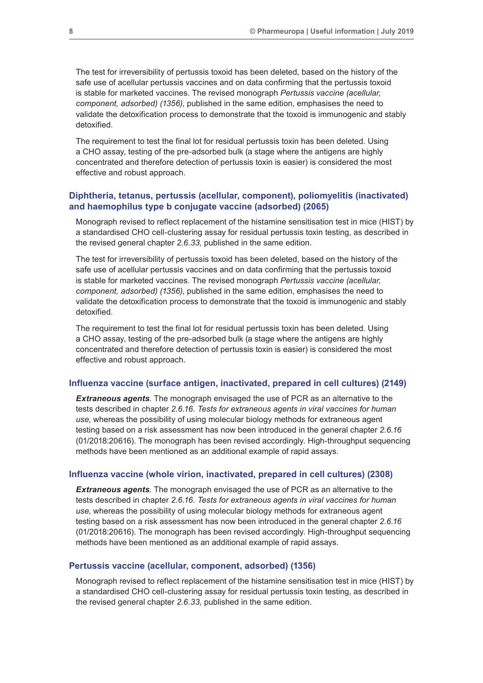The test for irreversibility of pertussis toxoid has been deleted, based on the history of the safe use of acellular pertussis vaccines and on data confirming that the pertussis toxoid is stable for marketed vaccines. The revised monograph *Pertussis vaccine (acellular, component, adsorbed) (1356)*, published in the same edition, emphasises the need to validate the detoxification process to demonstrate that the toxoid is immunogenic and stably detoxified.

The requirement to test the final lot for residual pertussis toxin has been deleted. Using a CHO assay, testing of the pre-adsorbed bulk (a stage where the antigens are highly concentrated and therefore detection of pertussis toxin is easier) is considered the most effective and robust approach.

## **Diphtheria, tetanus, pertussis (acellular, component), poliomyelitis (inactivated) and haemophilus type b conjugate vaccine (adsorbed) (2065)**

Monograph revised to reflect replacement of the histamine sensitisation test in mice (HIST) by a standardised CHO cell-clustering assay for residual pertussis toxin testing, as described in the revised general chapter *2.6.33*, published in the same edition.

The test for irreversibility of pertussis toxoid has been deleted, based on the history of the safe use of acellular pertussis vaccines and on data confirming that the pertussis toxoid is stable for marketed vaccines. The revised monograph *Pertussis vaccine (acellular, component, adsorbed) (1356)*, published in the same edition, emphasises the need to validate the detoxification process to demonstrate that the toxoid is immunogenic and stably detoxified.

The requirement to test the final lot for residual pertussis toxin has been deleted. Using a CHO assay, testing of the pre-adsorbed bulk (a stage where the antigens are highly concentrated and therefore detection of pertussis toxin is easier) is considered the most effective and robust approach.

#### **Influenza vaccine (surface antigen, inactivated, prepared in cell cultures) (2149)**

*Extraneous agents*. The monograph envisaged the use of PCR as an alternative to the tests described in chapter *2.6.16. Tests for extraneous agents in viral vaccines for human use*, whereas the possibility of using molecular biology methods for extraneous agent testing based on a risk assessment has now been introduced in the general chapter *2.6.16* (01/2018:20616). The monograph has been revised accordingly. High-throughput sequencing methods have been mentioned as an additional example of rapid assays.

### **Influenza vaccine (whole virion, inactivated, prepared in cell cultures) (2308)**

*Extraneous agents*. The monograph envisaged the use of PCR as an alternative to the tests described in chapter *2.6.16. Tests for extraneous agents in viral vaccines for human use*, whereas the possibility of using molecular biology methods for extraneous agent testing based on a risk assessment has now been introduced in the general chapter *2.6.16* (01/2018:20616). The monograph has been revised accordingly. High-throughput sequencing methods have been mentioned as an additional example of rapid assays.

## **Pertussis vaccine (acellular, component, adsorbed) (1356)**

Monograph revised to reflect replacement of the histamine sensitisation test in mice (HIST) by a standardised CHO cell-clustering assay for residual pertussis toxin testing, as described in the revised general chapter *2.6.33*, published in the same edition.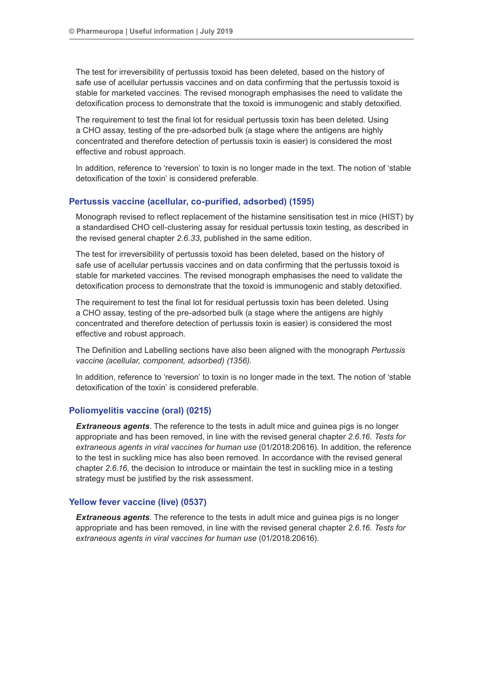The test for irreversibility of pertussis toxoid has been deleted, based on the history of safe use of acellular pertussis vaccines and on data confirming that the pertussis toxoid is stable for marketed vaccines. The revised monograph emphasises the need to validate the detoxification process to demonstrate that the toxoid is immunogenic and stably detoxified.

The requirement to test the final lot for residual pertussis toxin has been deleted. Using a CHO assay, testing of the pre-adsorbed bulk (a stage where the antigens are highly concentrated and therefore detection of pertussis toxin is easier) is considered the most effective and robust approach.

In addition, reference to 'reversion' to toxin is no longer made in the text. The notion of 'stable detoxification of the toxin' is considered preferable.

## **Pertussis vaccine (acellular, co-purified, adsorbed) (1595)**

Monograph revised to reflect replacement of the histamine sensitisation test in mice (HIST) by a standardised CHO cell-clustering assay for residual pertussis toxin testing, as described in the revised general chapter *2.6.33*, published in the same edition.

The test for irreversibility of pertussis toxoid has been deleted, based on the history of safe use of acellular pertussis vaccines and on data confirming that the pertussis toxoid is stable for marketed vaccines. The revised monograph emphasises the need to validate the detoxification process to demonstrate that the toxoid is immunogenic and stably detoxified.

The requirement to test the final lot for residual pertussis toxin has been deleted. Using a CHO assay, testing of the pre-adsorbed bulk (a stage where the antigens are highly concentrated and therefore detection of pertussis toxin is easier) is considered the most effective and robust approach.

The Definition and Labelling sections have also been aligned with the monograph *Pertussis vaccine (acellular, component, adsorbed) (1356)*.

In addition, reference to 'reversion' to toxin is no longer made in the text. The notion of 'stable detoxification of the toxin' is considered preferable.

## **Poliomyelitis vaccine (oral) (0215)**

**Extraneous agents**. The reference to the tests in adult mice and guinea pigs is no longer appropriate and has been removed, in line with the revised general chapter *2.6.16. Tests for extraneous agents in viral vaccines for human use* (01/2018:20616). In addition, the reference to the test in suckling mice has also been removed. In accordance with the revised general chapter *2.6.16*, the decision to introduce or maintain the test in suckling mice in a testing strategy must be justified by the risk assessment.

## **Yellow fever vaccine (live) (0537)**

**Extraneous agents**. The reference to the tests in adult mice and guinea pigs is no longer appropriate and has been removed, in line with the revised general chapter *2.6.16. Tests for extraneous agents in viral vaccines for human use* (01/2018:20616).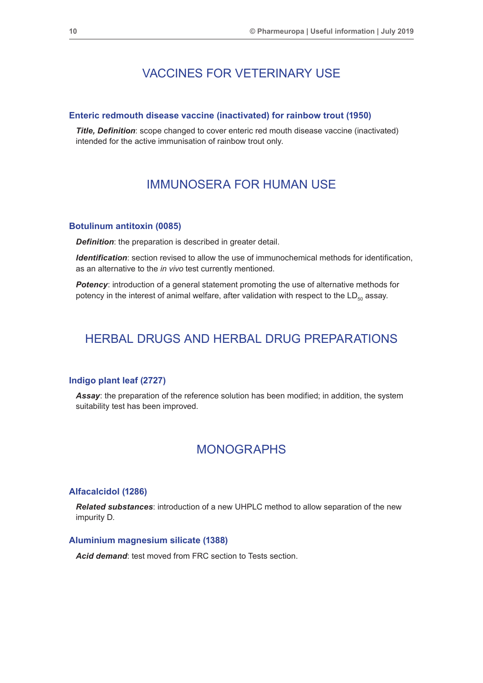## VACCINES FOR VETERINARY USE

#### **Enteric redmouth disease vaccine (inactivated) for rainbow trout (1950)**

*Title, Definition*: scope changed to cover enteric red mouth disease vaccine (inactivated) intended for the active immunisation of rainbow trout only.

## IMMUNOSERA FOR HUMAN USE

#### **Botulinum antitoxin (0085)**

*Definition:* the preparation is described in greater detail.

*Identification*: section revised to allow the use of immunochemical methods for identification, as an alternative to the *in vivo* test currently mentioned.

*Potency*: introduction of a general statement promoting the use of alternative methods for potency in the interest of animal welfare, after validation with respect to the  $LD_{50}$  assay.

## HERBAL DRUGS AND HERBAL DRUG PREPARATIONS

## **Indigo plant leaf (2727)**

**Assay**: the preparation of the reference solution has been modified; in addition, the system suitability test has been improved.

## MONOGRAPHS

#### **Alfacalcidol (1286)**

*Related substances*: introduction of a new UHPLC method to allow separation of the new impurity D.

### **Aluminium magnesium silicate (1388)**

Acid demand: test moved from FRC section to Tests section.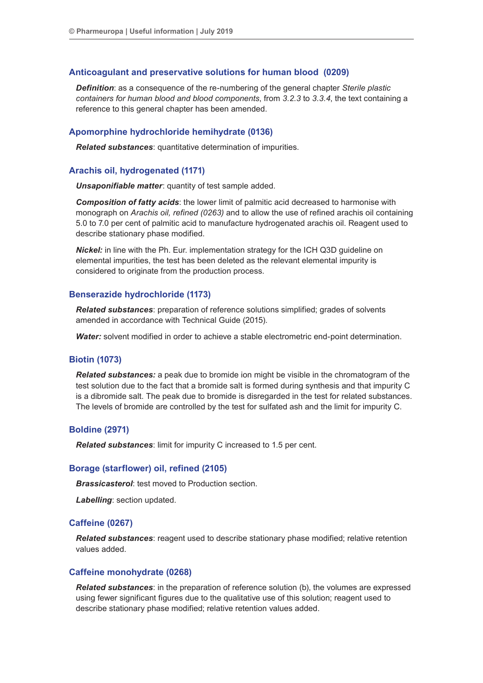#### **Anticoagulant and preservative solutions for human blood (0209)**

*Definition*: as a consequence of the re-numbering of the general chapter *Sterile plastic containers for human blood and blood components*, from *3.2.3* to *3.3.4*, the text containing a reference to this general chapter has been amended.

#### **Apomorphine hydrochloride hemihydrate (0136)**

*Related substances*: quantitative determination of impurities.

#### **Arachis oil, hydrogenated (1171)**

*Unsaponifiable matter*: quantity of test sample added.

*Composition of fatty acids*: the lower limit of palmitic acid decreased to harmonise with monograph on *Arachis oil, refined (0263)* and to allow the use of refined arachis oil containing 5.0 to 7.0 per cent of palmitic acid to manufacture hydrogenated arachis oil. Reagent used to describe stationary phase modified.

*Nickel:* in line with the Ph. Eur. implementation strategy for the ICH Q3D guideline on elemental impurities, the test has been deleted as the relevant elemental impurity is considered to originate from the production process.

#### **Benserazide hydrochloride (1173)**

*Related substances*: preparation of reference solutions simplified; grades of solvents amended in accordance with Technical Guide (2015).

*Water:* solvent modified in order to achieve a stable electrometric end-point determination.

## **Biotin (1073)**

*Related substances:* a peak due to bromide ion might be visible in the chromatogram of the test solution due to the fact that a bromide salt is formed during synthesis and that impurity C is a dibromide salt. The peak due to bromide is disregarded in the test for related substances. The levels of bromide are controlled by the test for sulfated ash and the limit for impurity C.

## **Boldine (2971)**

*Related substances*: limit for impurity C increased to 1.5 per cent.

#### **Borage (starflower) oil, refined (2105)**

*Brassicasterol*: test moved to Production section.

*Labelling*: section updated.

#### **Caffeine (0267)**

*Related substances*: reagent used to describe stationary phase modified; relative retention values added.

## **Caffeine monohydrate (0268)**

*Related substances*: in the preparation of reference solution (b), the volumes are expressed using fewer significant figures due to the qualitative use of this solution; reagent used to describe stationary phase modified; relative retention values added.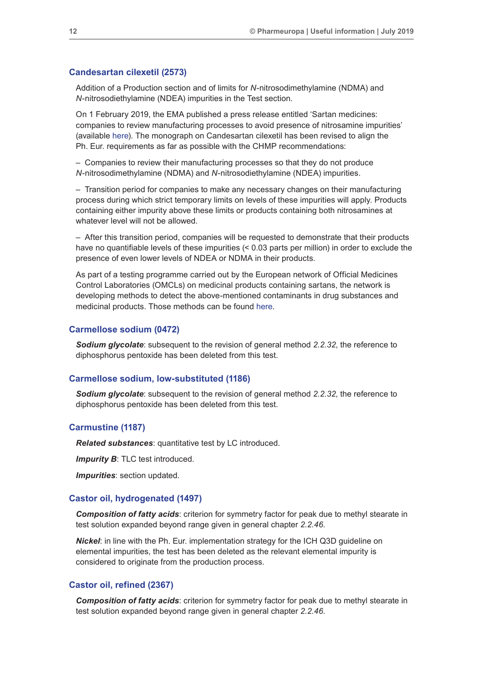#### **Candesartan cilexetil (2573)**

Addition of a Production section and of limits for *N*-nitrosodimethylamine (NDMA) and *N*-nitrosodiethylamine (NDEA) impurities in the Test section.

On 1 February 2019, the EMA published a press release entitled 'Sartan medicines: companies to review manufacturing processes to avoid presence of nitrosamine impurities' (available [here](https://www.ema.europa.eu/en/news/sartan-medicines-companies-review-manufacturing-processes-avoid-presence-nitrosamine-impurities)). The monograph on Candesartan cilexetil has been revised to align the Ph. Eur. requirements as far as possible with the CHMP recommendations:

– Companies to review their manufacturing processes so that they do not produce *N*-nitrosodimethylamine (NDMA) and *N*-nitrosodiethylamine (NDEA) impurities.

– Transition period for companies to make any necessary changes on their manufacturing process during which strict temporary limits on levels of these impurities will apply. Products containing either impurity above these limits or products containing both nitrosamines at whatever level will not be allowed.

– After this transition period, companies will be requested to demonstrate that their products have no quantifiable levels of these impurities (< 0.03 parts per million) in order to exclude the presence of even lower levels of NDEA or NDMA in their products.

As part of a testing programme carried out by the European network of Official Medicines Control Laboratories (OMCLs) on medicinal products containing sartans, the network is developing methods to detect the above-mentioned contaminants in drug substances and medicinal products. Those methods can be found [here](https://www.edqm.eu/en/ad-hoc-projects-omcl-network).

#### **Carmellose sodium (0472)**

*Sodium glycolate*: subsequent to the revision of general method *2.2.32*, the reference to diphosphorus pentoxide has been deleted from this test.

#### **Carmellose sodium, low-substituted (1186)**

*Sodium glycolate*: subsequent to the revision of general method *2.2.32*, the reference to diphosphorus pentoxide has been deleted from this test.

#### **Carmustine (1187)**

*Related substances*: quantitative test by LC introduced.

*Impurity B*: TLC test introduced.

*Impurities*: section updated.

#### **Castor oil, hydrogenated (1497)**

*Composition of fatty acids*: criterion for symmetry factor for peak due to methyl stearate in test solution expanded beyond range given in general chapter *2.2.46*.

*Nickel*: in line with the Ph. Eur. implementation strategy for the ICH Q3D guideline on elemental impurities, the test has been deleted as the relevant elemental impurity is considered to originate from the production process.

#### **Castor oil, refined (2367)**

*Composition of fatty acids*: criterion for symmetry factor for peak due to methyl stearate in test solution expanded beyond range given in general chapter *2.2.46*.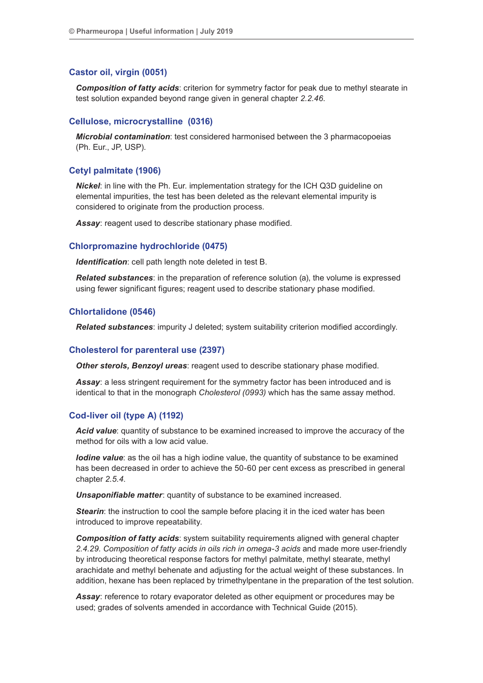#### **Castor oil, virgin (0051)**

*Composition of fatty acids*: criterion for symmetry factor for peak due to methyl stearate in test solution expanded beyond range given in general chapter *2.2.46*.

### **Cellulose, microcrystalline (0316)**

*Microbial contamination*: test considered harmonised between the 3 pharmacopoeias (Ph. Eur., JP, USP).

#### **Cetyl palmitate (1906)**

*Nickel*: in line with the Ph. Eur. implementation strategy for the ICH Q3D guideline on elemental impurities, the test has been deleted as the relevant elemental impurity is considered to originate from the production process.

*Assay*: reagent used to describe stationary phase modified.

#### **Chlorpromazine hydrochloride (0475)**

*Identification*: cell path length note deleted in test B.

*Related substances*: in the preparation of reference solution (a), the volume is expressed using fewer significant figures; reagent used to describe stationary phase modified.

#### **Chlortalidone (0546)**

*Related substances*: impurity J deleted; system suitability criterion modified accordingly.

#### **Cholesterol for parenteral use (2397)**

*Other sterols, Benzoyl ureas*: reagent used to describe stationary phase modified.

**Assay:** a less stringent requirement for the symmetry factor has been introduced and is identical to that in the monograph *Cholesterol (0993)* which has the same assay method.

#### **Cod-liver oil (type A) (1192)**

*Acid value*: quantity of substance to be examined increased to improve the accuracy of the method for oils with a low acid value.

*Iodine value*: as the oil has a high iodine value, the quantity of substance to be examined has been decreased in order to achieve the 50-60 per cent excess as prescribed in general chapter *2.5.4*.

*Unsaponifiable matter*: quantity of substance to be examined increased.

**Stearin:** the instruction to cool the sample before placing it in the iced water has been introduced to improve repeatability.

*Composition of fatty acids*: system suitability requirements aligned with general chapter *2.4.29. Composition of fatty acids in oils rich in omega-3 acids* and made more user-friendly by introducing theoretical response factors for methyl palmitate, methyl stearate, methyl arachidate and methyl behenate and adjusting for the actual weight of these substances. In addition, hexane has been replaced by trimethylpentane in the preparation of the test solution.

*Assay*: reference to rotary evaporator deleted as other equipment or procedures may be used; grades of solvents amended in accordance with Technical Guide (2015).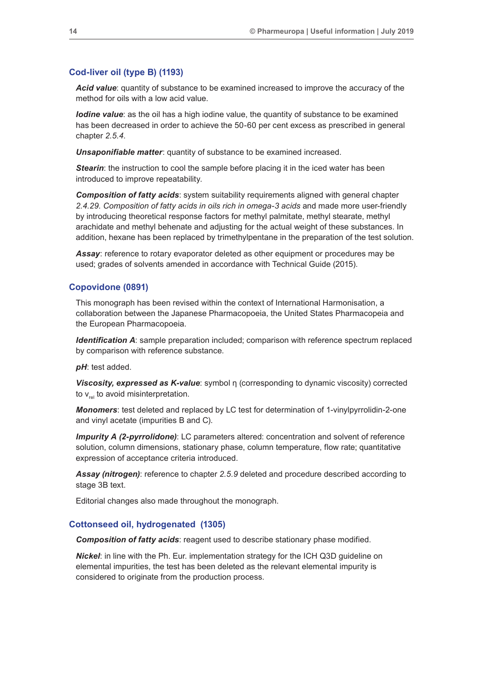### **Cod-liver oil (type B) (1193)**

*Acid value*: quantity of substance to be examined increased to improve the accuracy of the method for oils with a low acid value.

*Iodine value*: as the oil has a high iodine value, the quantity of substance to be examined has been decreased in order to achieve the 50-60 per cent excess as prescribed in general chapter *2.5.4*.

*Unsaponifiable matter*: quantity of substance to be examined increased.

**Stearin:** the instruction to cool the sample before placing it in the iced water has been introduced to improve repeatability.

*Composition of fatty acids*: system suitability requirements aligned with general chapter *2.4.29. Composition of fatty acids in oils rich in omega-3 acids* and made more user-friendly by introducing theoretical response factors for methyl palmitate, methyl stearate, methyl arachidate and methyl behenate and adjusting for the actual weight of these substances. In addition, hexane has been replaced by trimethylpentane in the preparation of the test solution.

Assay: reference to rotary evaporator deleted as other equipment or procedures may be used; grades of solvents amended in accordance with Technical Guide (2015).

#### **Copovidone (0891)**

This monograph has been revised within the context of International Harmonisation, a collaboration between the Japanese Pharmacopoeia, the United States Pharmacopeia and the European Pharmacopoeia.

*Identification A:* sample preparation included; comparison with reference spectrum replaced by comparison with reference substance.

*pH*: test added.

*Viscosity, expressed as K-value*: symbol η (corresponding to dynamic viscosity) corrected to  $v_{rel}$  to avoid misinterpretation.

*Monomers*: test deleted and replaced by LC test for determination of 1-vinylpyrrolidin-2-one and vinyl acetate (impurities B and C).

*Impurity A (2-pyrrolidone)*: LC parameters altered: concentration and solvent of reference solution, column dimensions, stationary phase, column temperature, flow rate; quantitative expression of acceptance criteria introduced.

*Assay (nitrogen)*: reference to chapter *2.5.9* deleted and procedure described according to stage 3B text.

Editorial changes also made throughout the monograph.

#### **Cottonseed oil, hydrogenated (1305)**

*Composition of fatty acids*: reagent used to describe stationary phase modified.

*Nickel*: in line with the Ph. Eur. implementation strategy for the ICH Q3D guideline on elemental impurities, the test has been deleted as the relevant elemental impurity is considered to originate from the production process.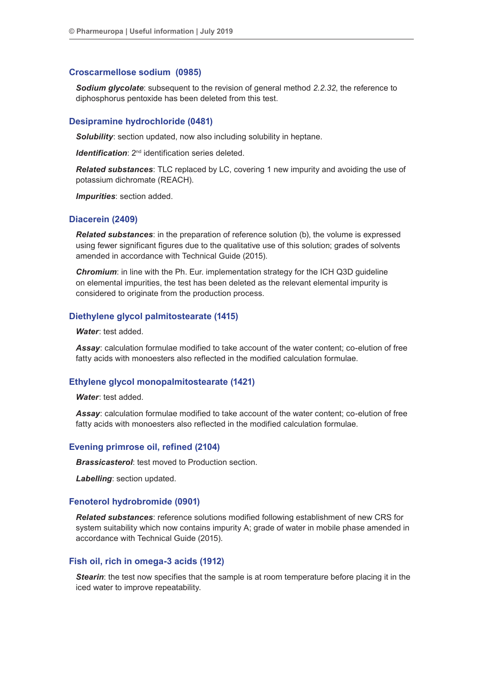#### **Croscarmellose sodium (0985)**

*Sodium glycolate*: subsequent to the revision of general method *2.2.32*, the reference to diphosphorus pentoxide has been deleted from this test.

#### **Desipramine hydrochloride (0481)**

*Solubility*: section updated, now also including solubility in heptane.

*Identification:* 2<sup>nd</sup> identification series deleted.

*Related substances*: TLC replaced by LC, covering 1 new impurity and avoiding the use of potassium dichromate (REACH).

*Impurities*: section added.

### **Diacerein (2409)**

*Related substances*: in the preparation of reference solution (b), the volume is expressed using fewer significant figures due to the qualitative use of this solution; grades of solvents amended in accordance with Technical Guide (2015).

*Chromium:* in line with the Ph. Eur. implementation strategy for the ICH Q3D quideline on elemental impurities, the test has been deleted as the relevant elemental impurity is considered to originate from the production process.

#### **Diethylene glycol palmitostearate (1415)**

*Water*: test added.

*Assay*: calculation formulae modified to take account of the water content; co-elution of free fatty acids with monoesters also reflected in the modified calculation formulae.

#### **Ethylene glycol monopalmitostearate (1421)**

*Water*: test added.

*Assay*: calculation formulae modified to take account of the water content; co-elution of free fatty acids with monoesters also reflected in the modified calculation formulae.

#### **Evening primrose oil, refined (2104)**

*Brassicasterol:* test moved to Production section.

*Labelling*: section updated.

## **Fenoterol hydrobromide (0901)**

*Related substances*: reference solutions modified following establishment of new CRS for system suitability which now contains impurity A; grade of water in mobile phase amended in accordance with Technical Guide (2015).

## **Fish oil, rich in omega-3 acids (1912)**

*Stearin*: the test now specifies that the sample is at room temperature before placing it in the iced water to improve repeatability.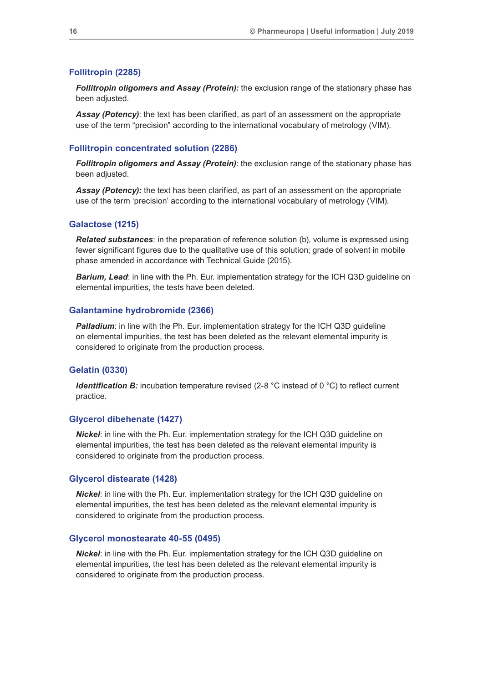### **Follitropin (2285)**

*Follitropin oligomers and Assay (Protein):* the exclusion range of the stationary phase has been adjusted.

**Assay (Potency)**: the text has been clarified, as part of an assessment on the appropriate use of the term "precision" according to the international vocabulary of metrology (VIM).

#### **Follitropin concentrated solution (2286)**

*Follitropin oligomers and Assay (Protein)*: the exclusion range of the stationary phase has been adjusted.

**Assay (Potency):** the text has been clarified, as part of an assessment on the appropriate use of the term 'precision' according to the international vocabulary of metrology (VIM).

#### **Galactose (1215)**

*Related substances*: in the preparation of reference solution (b), volume is expressed using fewer significant figures due to the qualitative use of this solution; grade of solvent in mobile phase amended in accordance with Technical Guide (2015).

**Barium, Lead:** in line with the Ph. Eur. implementation strategy for the ICH Q3D guideline on elemental impurities, the tests have been deleted.

#### **Galantamine hydrobromide (2366)**

**Palladium:** in line with the Ph. Eur. implementation strategy for the ICH Q3D guideline on elemental impurities, the test has been deleted as the relevant elemental impurity is considered to originate from the production process.

#### **Gelatin (0330)**

*Identification B:* incubation temperature revised (2-8 °C instead of 0 °C) to reflect current practice.

### **Glycerol dibehenate (1427)**

*Nickel*: in line with the Ph. Eur. implementation strategy for the ICH Q3D guideline on elemental impurities, the test has been deleted as the relevant elemental impurity is considered to originate from the production process.

#### **Glycerol distearate (1428)**

*Nickel*: in line with the Ph. Eur. implementation strategy for the ICH Q3D guideline on elemental impurities, the test has been deleted as the relevant elemental impurity is considered to originate from the production process.

#### **Glycerol monostearate 40-55 (0495)**

*Nickel*: in line with the Ph. Eur. implementation strategy for the ICH Q3D guideline on elemental impurities, the test has been deleted as the relevant elemental impurity is considered to originate from the production process.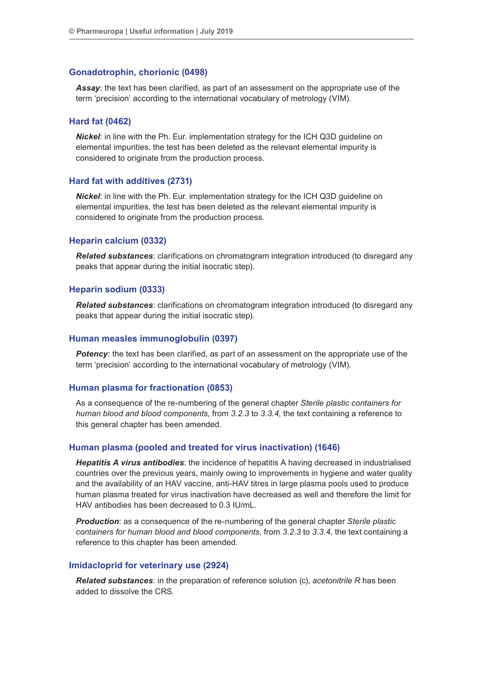#### **Gonadotrophin, chorionic (0498)**

*Assay*: the text has been clarified, as part of an assessment on the appropriate use of the term 'precision' according to the international vocabulary of metrology (VIM).

## **Hard fat (0462)**

*Nickel*: in line with the Ph. Eur. implementation strategy for the ICH Q3D guideline on elemental impurities, the test has been deleted as the relevant elemental impurity is considered to originate from the production process.

#### **Hard fat with additives (2731)**

*Nickel*: in line with the Ph. Eur. implementation strategy for the ICH Q3D guideline on elemental impurities, the test has been deleted as the relevant elemental impurity is considered to originate from the production process.

#### **Heparin calcium (0332)**

*Related substances*: clarifications on chromatogram integration introduced (to disregard any peaks that appear during the initial isocratic step).

#### **Heparin sodium (0333)**

*Related substances*: clarifications on chromatogram integration introduced (to disregard any peaks that appear during the initial isocratic step).

#### **Human measles immunoglobulin (0397)**

**Potency**: the text has been clarified, as part of an assessment on the appropriate use of the term 'precision' according to the international vocabulary of metrology (VIM).

#### **Human plasma for fractionation (0853)**

As a consequence of the re-numbering of the general chapter *Sterile plastic containers for human blood and blood components*, from *3.2.3* to *3.3.4*, the text containing a reference to this general chapter has been amended.

#### **Human plasma (pooled and treated for virus inactivation) (1646)**

*Hepatitis A virus antibodies*: the incidence of hepatitis A having decreased in industrialised countries over the previous years, mainly owing to improvements in hygiene and water quality and the availability of an HAV vaccine, anti-HAV titres in large plasma pools used to produce human plasma treated for virus inactivation have decreased as well and therefore the limit for HAV antibodies has been decreased to 0.3 IU/mL.

*Production*: as a consequence of the re-numbering of the general chapter *Sterile plastic containers for human blood and blood components*, from *3.2.3* to *3.3.4*, the text containing a reference to this chapter has been amended.

#### **Imidacloprid for veterinary use (2924)**

*Related substances*: in the preparation of reference solution (c), *acetonitrile R* has been added to dissolve the CRS.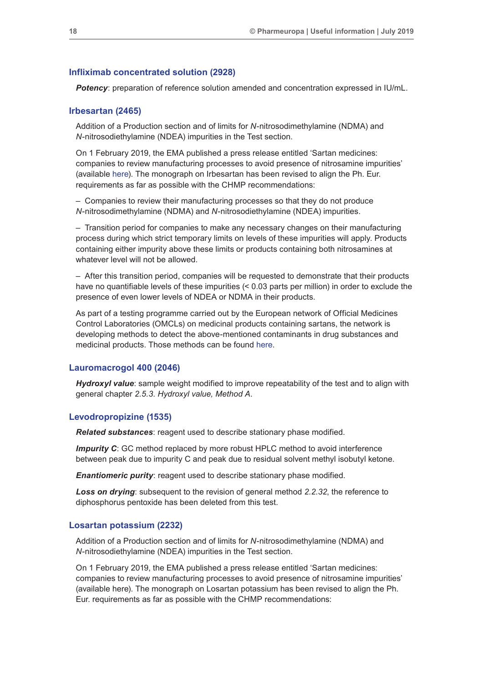#### **Infliximab concentrated solution (2928)**

**Potency**: preparation of reference solution amended and concentration expressed in IU/mL.

## **Irbesartan (2465)**

Addition of a Production section and of limits for *N*-nitrosodimethylamine (NDMA) and *N*-nitrosodiethylamine (NDEA) impurities in the Test section.

On 1 February 2019, the EMA published a press release entitled 'Sartan medicines: companies to review manufacturing processes to avoid presence of nitrosamine impurities' (available [here](https://www.ema.europa.eu/en/news/sartan-medicines-companies-review-manufacturing-processes-avoid-presence-nitrosamine-impurities)). The monograph on Irbesartan has been revised to align the Ph. Eur. requirements as far as possible with the CHMP recommendations:

– Companies to review their manufacturing processes so that they do not produce *N*-nitrosodimethylamine (NDMA) and *N*-nitrosodiethylamine (NDEA) impurities.

– Transition period for companies to make any necessary changes on their manufacturing process during which strict temporary limits on levels of these impurities will apply. Products containing either impurity above these limits or products containing both nitrosamines at whatever level will not be allowed.

– After this transition period, companies will be requested to demonstrate that their products have no quantifiable levels of these impurities (< 0.03 parts per million) in order to exclude the presence of even lower levels of NDEA or NDMA in their products.

As part of a testing programme carried out by the European network of Official Medicines Control Laboratories (OMCLs) on medicinal products containing sartans, the network is developing methods to detect the above-mentioned contaminants in drug substances and medicinal products. Those methods can be found [here](https://www.edqm.eu/en/ad-hoc-projects-omcl-network).

## **Lauromacrogol 400 (2046)**

*Hydroxyl value*: sample weight modified to improve repeatability of the test and to align with general chapter *2.5.3. Hydroxyl value, Method A*.

#### **Levodropropizine (1535)**

*Related substances*: reagent used to describe stationary phase modified.

*Impurity C*: GC method replaced by more robust HPLC method to avoid interference between peak due to impurity C and peak due to residual solvent methyl isobutyl ketone.

*Enantiomeric purity:* reagent used to describe stationary phase modified.

*Loss on drying*: subsequent to the revision of general method *2.2.32*, the reference to diphosphorus pentoxide has been deleted from this test.

#### **Losartan potassium (2232)**

Addition of a Production section and of limits for *N*-nitrosodimethylamine (NDMA) and *N*-nitrosodiethylamine (NDEA) impurities in the Test section.

On 1 February 2019, the EMA published a press release entitled 'Sartan medicines: companies to review manufacturing processes to avoid presence of nitrosamine impurities' (available here). The monograph on Losartan potassium has been revised to align the Ph. Eur. requirements as far as possible with the CHMP recommendations: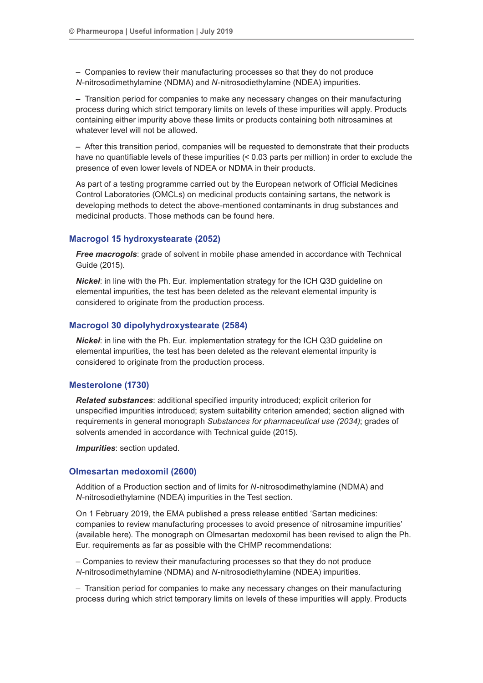– Companies to review their manufacturing processes so that they do not produce *N*-nitrosodimethylamine (NDMA) and *N*-nitrosodiethylamine (NDEA) impurities.

– Transition period for companies to make any necessary changes on their manufacturing process during which strict temporary limits on levels of these impurities will apply. Products containing either impurity above these limits or products containing both nitrosamines at whatever level will not be allowed.

– After this transition period, companies will be requested to demonstrate that their products have no quantifiable levels of these impurities (< 0.03 parts per million) in order to exclude the presence of even lower levels of NDEA or NDMA in their products.

As part of a testing programme carried out by the European network of Official Medicines Control Laboratories (OMCLs) on medicinal products containing sartans, the network is developing methods to detect the above-mentioned contaminants in drug substances and medicinal products. Those methods can be found here.

## **Macrogol 15 hydroxystearate (2052)**

*Free macrogols*: grade of solvent in mobile phase amended in accordance with Technical Guide (2015).

*Nickel*: in line with the Ph. Eur. implementation strategy for the ICH Q3D guideline on elemental impurities, the test has been deleted as the relevant elemental impurity is considered to originate from the production process.

## **Macrogol 30 dipolyhydroxystearate (2584)**

*Nickel*: in line with the Ph. Eur. implementation strategy for the ICH Q3D guideline on elemental impurities, the test has been deleted as the relevant elemental impurity is considered to originate from the production process.

#### **Mesterolone (1730)**

*Related substances*: additional specified impurity introduced; explicit criterion for unspecified impurities introduced; system suitability criterion amended; section aligned with requirements in general monograph *Substances for pharmaceutical use (2034)*; grades of solvents amended in accordance with Technical guide (2015).

*Impurities*: section updated.

#### **Olmesartan medoxomil (2600)**

Addition of a Production section and of limits for *N*-nitrosodimethylamine (NDMA) and *N*-nitrosodiethylamine (NDEA) impurities in the Test section.

On 1 February 2019, the EMA published a press release entitled 'Sartan medicines: companies to review manufacturing processes to avoid presence of nitrosamine impurities' (available here). The monograph on Olmesartan medoxomil has been revised to align the Ph. Eur. requirements as far as possible with the CHMP recommendations:

*–* Companies to review their manufacturing processes so that they do not produce *N*-nitrosodimethylamine (NDMA) and *N*-nitrosodiethylamine (NDEA) impurities.

– Transition period for companies to make any necessary changes on their manufacturing process during which strict temporary limits on levels of these impurities will apply. Products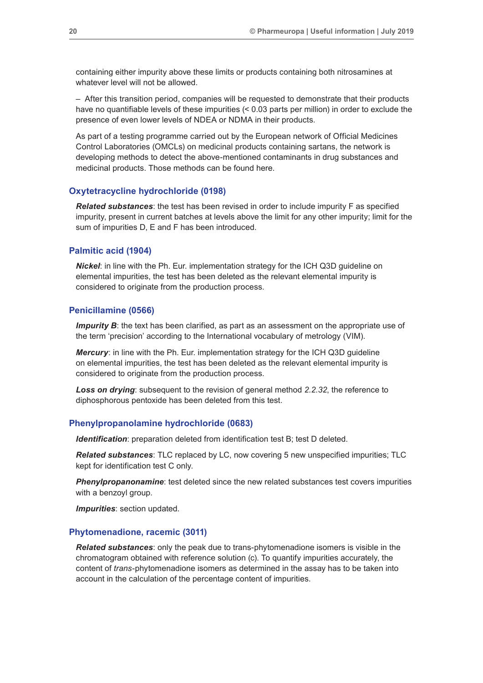containing either impurity above these limits or products containing both nitrosamines at whatever level will not be allowed.

– After this transition period, companies will be requested to demonstrate that their products have no quantifiable levels of these impurities (< 0.03 parts per million) in order to exclude the presence of even lower levels of NDEA or NDMA in their products.

As part of a testing programme carried out by the European network of Official Medicines Control Laboratories (OMCLs) on medicinal products containing sartans, the network is developing methods to detect the above-mentioned contaminants in drug substances and medicinal products. Those methods can be found here.

#### **Oxytetracycline hydrochloride (0198)**

*Related substances*: the test has been revised in order to include impurity F as specified impurity, present in current batches at levels above the limit for any other impurity; limit for the sum of impurities D, E and F has been introduced.

## **Palmitic acid (1904)**

*Nickel*: in line with the Ph. Eur. implementation strategy for the ICH Q3D guideline on elemental impurities, the test has been deleted as the relevant elemental impurity is considered to originate from the production process.

#### **Penicillamine (0566)**

*Impurity B*: the text has been clarified, as part as an assessment on the appropriate use of the term 'precision' according to the International vocabulary of metrology (VIM).

*Mercury*: in line with the Ph. Eur. implementation strategy for the ICH Q3D guideline on elemental impurities, the test has been deleted as the relevant elemental impurity is considered to originate from the production process.

*Loss on drying*: subsequent to the revision of general method *2.2.32*, the reference to diphosphorous pentoxide has been deleted from this test.

#### **Phenylpropanolamine hydrochloride (0683)**

*Identification*: preparation deleted from identification test B; test D deleted.

*Related substances*: TLC replaced by LC, now covering 5 new unspecified impurities; TLC kept for identification test C only.

*Phenylpropanonamine*: test deleted since the new related substances test covers impurities with a benzoyl group.

*Impurities*: section updated.

#### **Phytomenadione, racemic (3011)**

*Related substances*: only the peak due to trans-phytomenadione isomers is visible in the chromatogram obtained with reference solution (c). To quantify impurities accurately, the content of *trans*-phytomenadione isomers as determined in the assay has to be taken into account in the calculation of the percentage content of impurities.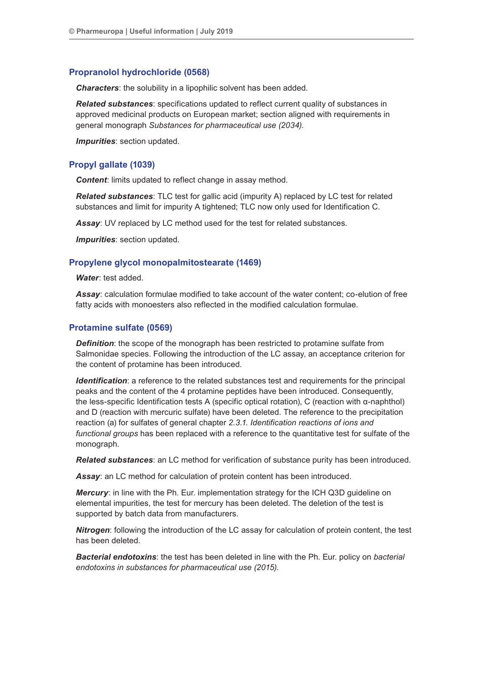## **Propranolol hydrochloride (0568)**

*Characters*: the solubility in a lipophilic solvent has been added.

*Related substances*: specifications updated to reflect current quality of substances in approved medicinal products on European market; section aligned with requirements in general monograph *Substances for pharmaceutical use (2034)*.

*Impurities*: section updated.

## **Propyl gallate (1039)**

**Content:** limits updated to reflect change in assay method.

*Related substances*: TLC test for gallic acid (impurity A) replaced by LC test for related substances and limit for impurity A tightened; TLC now only used for Identification C.

*Assay*: UV replaced by LC method used for the test for related substances.

*Impurities*: section updated.

## **Propylene glycol monopalmitostearate (1469)**

*Water*: test added.

*Assay*: calculation formulae modified to take account of the water content; co-elution of free fatty acids with monoesters also reflected in the modified calculation formulae.

## **Protamine sulfate (0569)**

*Definition*: the scope of the monograph has been restricted to protamine sulfate from Salmonidae species. Following the introduction of the LC assay, an acceptance criterion for the content of protamine has been introduced.

*Identification*: a reference to the related substances test and requirements for the principal peaks and the content of the 4 protamine peptides have been introduced. Consequently, the less-specific Identification tests A (specific optical rotation), C (reaction with α-naphthol) and D (reaction with mercuric sulfate) have been deleted. The reference to the precipitation reaction (a) for sulfates of general chapter *2.3.1. Identification reactions of ions and functional groups* has been replaced with a reference to the quantitative test for sulfate of the monograph.

*Related substances*: an LC method for verification of substance purity has been introduced.

*Assay*: an LC method for calculation of protein content has been introduced.

*Mercury*: in line with the Ph. Eur. implementation strategy for the ICH Q3D guideline on elemental impurities, the test for mercury has been deleted. The deletion of the test is supported by batch data from manufacturers.

*Nitrogen*: following the introduction of the LC assay for calculation of protein content, the test has been deleted.

*Bacterial endotoxins*: the test has been deleted in line with the Ph. Eur. policy on *bacterial endotoxins in substances for pharmaceutical use (2015)*.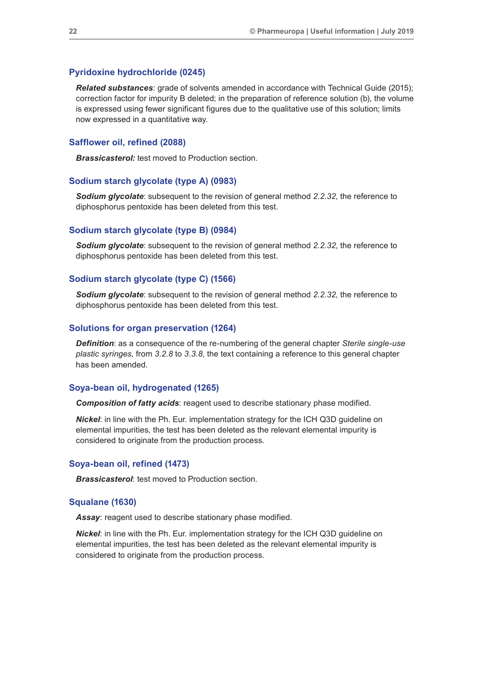#### **Pyridoxine hydrochloride (0245)**

*Related substances*: grade of solvents amended in accordance with Technical Guide (2015); correction factor for impurity B deleted; in the preparation of reference solution (b), the volume is expressed using fewer significant figures due to the qualitative use of this solution; limits now expressed in a quantitative way.

#### **Safflower oil, refined (2088)**

**Brassicasterol:** test moved to Production section.

## **Sodium starch glycolate (type A) (0983)**

*Sodium glycolate*: subsequent to the revision of general method *2.2.32*, the reference to diphosphorus pentoxide has been deleted from this test.

#### **Sodium starch glycolate (type B) (0984)**

**Sodium glycolate**: subsequent to the revision of general method 2.2.32, the reference to diphosphorus pentoxide has been deleted from this test.

#### **Sodium starch glycolate (type C) (1566)**

*Sodium glycolate*: subsequent to the revision of general method *2.2.32*, the reference to diphosphorus pentoxide has been deleted from this test.

#### **Solutions for organ preservation (1264)**

*Definition*: as a consequence of the re-numbering of the general chapter *Sterile single-use plastic syringes*, from *3.2.8* to *3.3.8*, the text containing a reference to this general chapter has been amended.

## **Soya-bean oil, hydrogenated (1265)**

*Composition of fatty acids*: reagent used to describe stationary phase modified.

*Nickel*: in line with the Ph. Eur. implementation strategy for the ICH Q3D guideline on elemental impurities, the test has been deleted as the relevant elemental impurity is considered to originate from the production process.

#### **Soya-bean oil, refined (1473)**

*Brassicasterol:* test moved to Production section.

#### **Squalane (1630)**

*Assay*: reagent used to describe stationary phase modified.

*Nickel*: in line with the Ph. Eur. implementation strategy for the ICH Q3D guideline on elemental impurities, the test has been deleted as the relevant elemental impurity is considered to originate from the production process.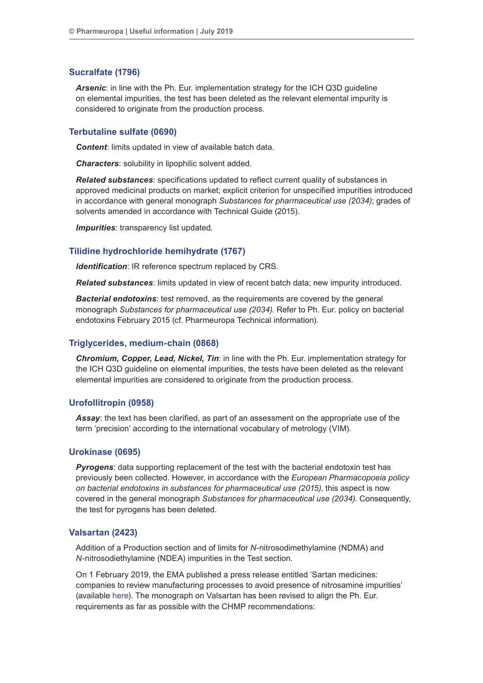## **Sucralfate (1796)**

*Arsenic*: in line with the Ph. Eur. implementation strategy for the ICH Q3D guideline on elemental impurities, the test has been deleted as the relevant elemental impurity is considered to originate from the production process.

## **Terbutaline sulfate (0690)**

*Content*: limits updated in view of available batch data.

*Characters*: solubility in lipophilic solvent added.

*Related substances*: specifications updated to reflect current quality of substances in approved medicinal products on market; explicit criterion for unspecified impurities introduced in accordance with general monograph *Substances for pharmaceutical use (2034)*; grades of solvents amended in accordance with Technical Guide (2015).

*Impurities*: transparency list updated.

## **Tilidine hydrochloride hemihydrate (1767)**

*Identification*: IR reference spectrum replaced by CRS.

*Related substances*: limits updated in view of recent batch data; new impurity introduced.

*Bacterial endotoxins*: test removed, as the requirements are covered by the general monograph *Substances for pharmaceutical use (2034)*. Refer to Ph. Eur. policy on bacterial endotoxins February 2015 (cf. Pharmeuropa Technical information).

#### **Triglycerides, medium-chain (0868)**

*Chromium, Copper, Lead, Nickel, Tin*: in line with the Ph. Eur. implementation strategy for the ICH Q3D guideline on elemental impurities, the tests have been deleted as the relevant elemental impurities are considered to originate from the production process.

## **Urofollitropin (0958)**

*Assay*: the text has been clarified, as part of an assessment on the appropriate use of the term 'precision' according to the international vocabulary of metrology (VIM).

#### **Urokinase (0695)**

**Pyrogens:** data supporting replacement of the test with the bacterial endotoxin test has previously been collected. However, in accordance with the *European Pharmacopoeia policy on bacterial endotoxins in substances for pharmaceutical use (2015)*, this aspect is now covered in the general monograph *Substances for pharmaceutical use (2034)*. Consequently, the test for pyrogens has been deleted.

#### **Valsartan (2423)**

Addition of a Production section and of limits for *N*-nitrosodimethylamine (NDMA) and *N*-nitrosodiethylamine (NDEA) impurities in the Test section.

On 1 February 2019, the EMA published a press release entitled 'Sartan medicines: companies to review manufacturing processes to avoid presence of nitrosamine impurities' (available [here](https://www.ema.europa.eu/en/news/sartan-medicines-companies-review-manufacturing-processes-avoid-presence-nitrosamine-impurities)). The monograph on Valsartan has been revised to align the Ph. Eur. requirements as far as possible with the CHMP recommendations: